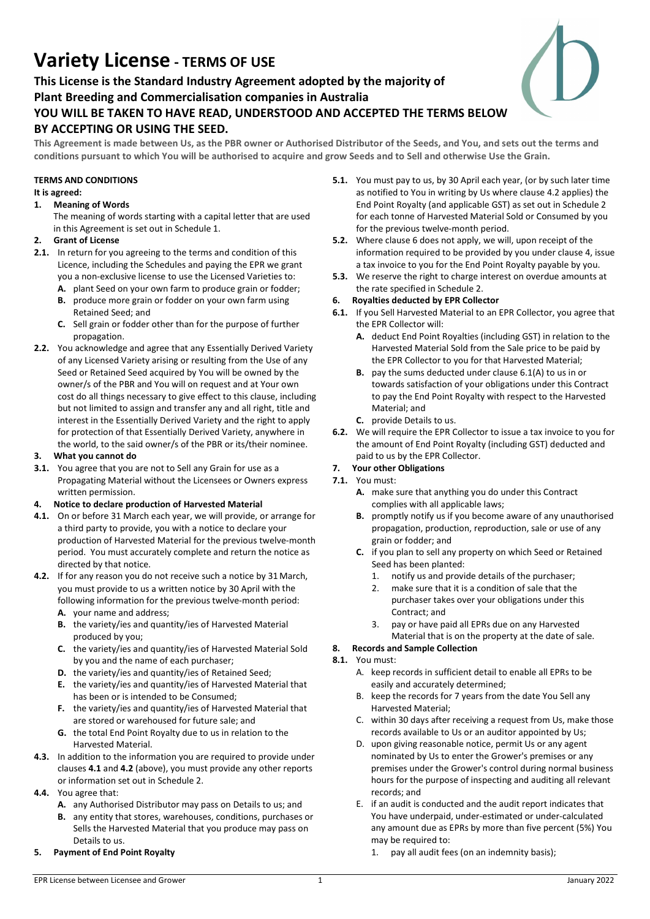# Variety License - TERMS OF USE

This License is the Standard Industry Agreement adopted by the majority of Plant Breeding and Commercialisation companies in Australia YOU WILL BE TAKEN TO HAVE READ, UNDERSTOOD AND ACCEPTED THE TERMS BELOW BY ACCEPTING OR USING THE SEED.

This Agreement is made between Us, as the PBR owner or Authorised Distributor of the Seeds, and You, and sets out the terms and conditions pursuant to which You will be authorised to acquire and grow Seeds and to Sell and otherwise Use the Grain.

## TERMS AND CONDITIONS

#### It is agreed:

#### 1. Meaning of Words

The meaning of words starting with a capital letter that are used in this Agreement is set out in Schedule 1.

#### 2. Grant of License

- 2.1. In return for you agreeing to the terms and condition of this Licence, including the Schedules and paying the EPR we grant you a non-exclusive license to use the Licensed Varieties to:
	- A. plant Seed on your own farm to produce grain or fodder;
	- B. produce more grain or fodder on your own farm using Retained Seed; and
	- C. Sell grain or fodder other than for the purpose of further propagation.
- 2.2. You acknowledge and agree that any Essentially Derived Variety of any Licensed Variety arising or resulting from the Use of any Seed or Retained Seed acquired by You will be owned by the owner/s of the PBR and You will on request and at Your own cost do all things necessary to give effect to this clause, including but not limited to assign and transfer any and all right, title and interest in the Essentially Derived Variety and the right to apply for protection of that Essentially Derived Variety, anywhere in the world, to the said owner/s of the PBR or its/their nominee.

#### 3. What you cannot do

3.1. You agree that you are not to Sell any Grain for use as a Propagating Material without the Licensees or Owners express written permission.

#### 4. Notice to declare production of Harvested Material

- 4.1. On or before 31 March each year, we will provide, or arrange for a third party to provide, you with a notice to declare your production of Harvested Material for the previous twelve-month period. You must accurately complete and return the notice as directed by that notice.
- 4.2. If for any reason you do not receive such a notice by 31 March, you must provide to us a written notice by 30 April with the following information for the previous twelve-month period:
	- A. your name and address;
	- B. the variety/ies and quantity/ies of Harvested Material produced by you;
	- C. the variety/ies and quantity/ies of Harvested Material Sold by you and the name of each purchaser;
	- D. the variety/ies and quantity/ies of Retained Seed;
	- E. the variety/ies and quantity/ies of Harvested Material that has been or is intended to be Consumed;
	- F. the variety/ies and quantity/ies of Harvested Material that are stored or warehoused for future sale; and
	- G. the total End Point Royalty due to us in relation to the Harvested Material.
- 4.3. In addition to the information you are required to provide under clauses 4.1 and 4.2 (above), you must provide any other reports or information set out in Schedule 2.
- 4.4. You agree that:
	- A. any Authorised Distributor may pass on Details to us; and
	- B. any entity that stores, warehouses, conditions, purchases or Sells the Harvested Material that you produce may pass on Details to us.
- 5. Payment of End Point Royalty
- 5.1. You must pay to us, by 30 April each year, (or by such later time as notified to You in writing by Us where clause 4.2 applies) the End Point Royalty (and applicable GST) as set out in Schedule 2 for each tonne of Harvested Material Sold or Consumed by you for the previous twelve-month period.
- 5.2. Where clause 6 does not apply, we will, upon receipt of the information required to be provided by you under clause 4, issue a tax invoice to you for the End Point Royalty payable by you.
- 5.3. We reserve the right to charge interest on overdue amounts at the rate specified in Schedule 2.
- 6. Royalties deducted by EPR Collector
- 6.1. If you Sell Harvested Material to an EPR Collector, you agree that the EPR Collector will:
	- A. deduct End Point Royalties (including GST) in relation to the Harvested Material Sold from the Sale price to be paid by the EPR Collector to you for that Harvested Material;
	- B. pay the sums deducted under clause 6.1(A) to us in or towards satisfaction of your obligations under this Contract to pay the End Point Royalty with respect to the Harvested Material; and
	- C. provide Details to us.
- 6.2. We will require the EPR Collector to issue a tax invoice to you for the amount of End Point Royalty (including GST) deducted and paid to us by the EPR Collector.

#### 7. Your other Obligations 7.1. You must:

- A. make sure that anything you do under this Contract
- complies with all applicable laws; B. promptly notify us if you become aware of any unauthorised propagation, production, reproduction, sale or use of any grain or fodder; and
- C. if you plan to sell any property on which Seed or Retained Seed has been planted:
	- 1. notify us and provide details of the purchaser;
	- 2. make sure that it is a condition of sale that the purchaser takes over your obligations under this Contract; and
	- 3. pay or have paid all EPRs due on any Harvested
		- Material that is on the property at the date of sale.

#### 8. Records and Sample Collection

- 8.1. You must:
	- A. keep records in sufficient detail to enable all EPRs to be easily and accurately determined;
	- B. keep the records for 7 years from the date You Sell any Harvested Material;
	- C. within 30 days after receiving a request from Us, make those records available to Us or an auditor appointed by Us;
	- D. upon giving reasonable notice, permit Us or any agent nominated by Us to enter the Grower's premises or any premises under the Grower's control during normal business hours for the purpose of inspecting and auditing all relevant records; and
	- E. if an audit is conducted and the audit report indicates that You have underpaid, under-estimated or under-calculated any amount due as EPRs by more than five percent (5%) You may be required to:
		- 1. pay all audit fees (on an indemnity basis);

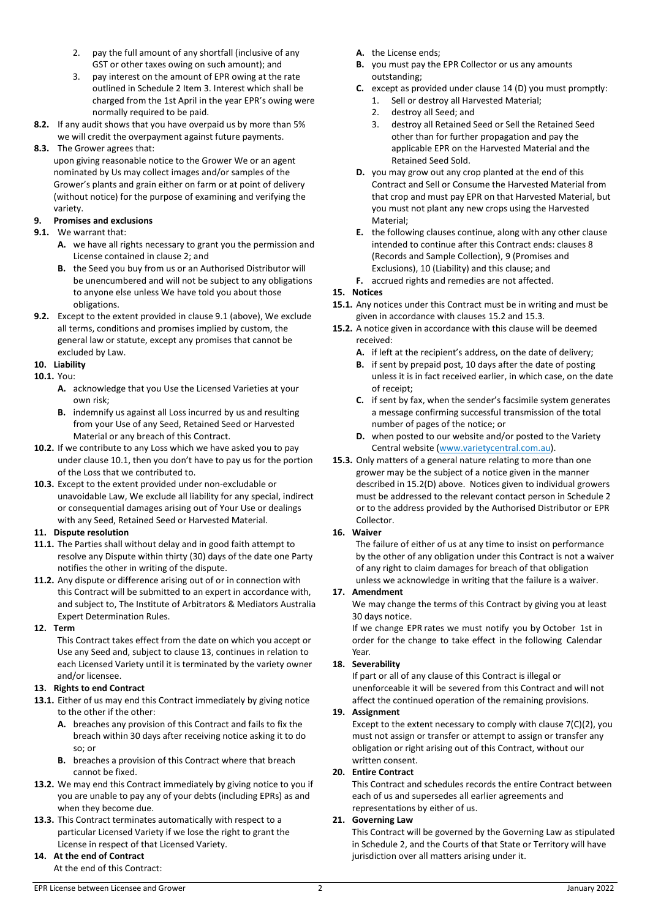- 2. pay the full amount of any shortfall (inclusive of any GST or other taxes owing on such amount); and
- 3. pay interest on the amount of EPR owing at the rate outlined in Schedule 2 Item 3. Interest which shall be charged from the 1st April in the year EPR's owing were normally required to be paid.
- 8.2. If any audit shows that you have overpaid us by more than 5% we will credit the overpayment against future payments.

## 8.3. The Grower agrees that:

upon giving reasonable notice to the Grower We or an agent nominated by Us may collect images and/or samples of the Grower's plants and grain either on farm or at point of delivery (without notice) for the purpose of examining and verifying the variety.

## 9. Promises and exclusions

- 9.1. We warrant that:
	- A. we have all rights necessary to grant you the permission and License contained in clause 2; and
	- B. the Seed you buy from us or an Authorised Distributor will be unencumbered and will not be subject to any obligations to anyone else unless We have told you about those obligations.
- 9.2. Except to the extent provided in clause 9.1 (above), We exclude all terms, conditions and promises implied by custom, the general law or statute, except any promises that cannot be excluded by Law.
- 10. Liability
- 10.1. You:
	- A. acknowledge that you Use the Licensed Varieties at your own risk;
	- B. indemnify us against all Loss incurred by us and resulting from your Use of any Seed, Retained Seed or Harvested Material or any breach of this Contract.
- 10.2. If we contribute to any Loss which we have asked you to pay under clause 10.1, then you don't have to pay us for the portion of the Loss that we contributed to.
- 10.3. Except to the extent provided under non-excludable or unavoidable Law, We exclude all liability for any special, indirect or consequential damages arising out of Your Use or dealings with any Seed, Retained Seed or Harvested Material.

#### 11. Dispute resolution

- 11.1. The Parties shall without delay and in good faith attempt to resolve any Dispute within thirty (30) days of the date one Party notifies the other in writing of the dispute.
- 11.2. Any dispute or difference arising out of or in connection with this Contract will be submitted to an expert in accordance with, and subject to, The Institute of Arbitrators & Mediators Australia Expert Determination Rules.

#### 12. Term

This Contract takes effect from the date on which you accept or Use any Seed and, subject to clause 13, continues in relation to each Licensed Variety until it is terminated by the variety owner and/or licensee.

## 13. Rights to end Contract

- 13.1. Either of us may end this Contract immediately by giving notice to the other if the other:
	- A. breaches any provision of this Contract and fails to fix the breach within 30 days after receiving notice asking it to do so; or
	- B. breaches a provision of this Contract where that breach cannot be fixed.
- 13.2. We may end this Contract immediately by giving notice to you if you are unable to pay any of your debts (including EPRs) as and when they become due.
- 13.3. This Contract terminates automatically with respect to a particular Licensed Variety if we lose the right to grant the License in respect of that Licensed Variety.

# 14. At the end of Contract

At the end of this Contract:

- A. the License ends;
- B. you must pay the EPR Collector or us any amounts outstanding;
- C. except as provided under clause 14 (D) you must promptly:
	- 1. Sell or destroy all Harvested Material;
	- 2. destroy all Seed; and
	- 3. destroy all Retained Seed or Sell the Retained Seed other than for further propagation and pay the applicable EPR on the Harvested Material and the Retained Seed Sold.
- D. you may grow out any crop planted at the end of this Contract and Sell or Consume the Harvested Material from that crop and must pay EPR on that Harvested Material, but you must not plant any new crops using the Harvested Material;
- E. the following clauses continue, along with any other clause intended to continue after this Contract ends: clauses 8 (Records and Sample Collection), 9 (Promises and Exclusions), 10 (Liability) and this clause; and
- F. accrued rights and remedies are not affected.

### 15. Notices

- 15.1. Any notices under this Contract must be in writing and must be given in accordance with clauses 15.2 and 15.3.
- 15.2. A notice given in accordance with this clause will be deemed received:
	- A. if left at the recipient's address, on the date of delivery;
	- B. if sent by prepaid post, 10 days after the date of posting unless it is in fact received earlier, in which case, on the date of receipt;
	- C. if sent by fax, when the sender's facsimile system generates a message confirming successful transmission of the total number of pages of the notice; or
	- D. when posted to our website and/or posted to the Variety Central website (www.varietycentral.com.au).
- 15.3. Only matters of a general nature relating to more than one grower may be the subject of a notice given in the manner described in 15.2(D) above. Notices given to individual growers must be addressed to the relevant contact person in Schedule 2 or to the address provided by the Authorised Distributor or EPR Collector.

## 16. Waiver

The failure of either of us at any time to insist on performance by the other of any obligation under this Contract is not a waiver of any right to claim damages for breach of that obligation unless we acknowledge in writing that the failure is a waiver.

#### 17. Amendment

We may change the terms of this Contract by giving you at least 30 days notice.

If we change EPR rates we must notify you by October 1st in order for the change to take effect in the following Calendar Year.

#### 18. Severability

If part or all of any clause of this Contract is illegal or unenforceable it will be severed from this Contract and will not affect the continued operation of the remaining provisions.

#### 19. Assignment

Except to the extent necessary to comply with clause 7(C)(2), you must not assign or transfer or attempt to assign or transfer any obligation or right arising out of this Contract, without our written consent.

#### 20. Entire Contract

This Contract and schedules records the entire Contract between each of us and supersedes all earlier agreements and representations by either of us.

#### 21. Governing Law

This Contract will be governed by the Governing Law as stipulated in Schedule 2, and the Courts of that State or Territory will have jurisdiction over all matters arising under it.